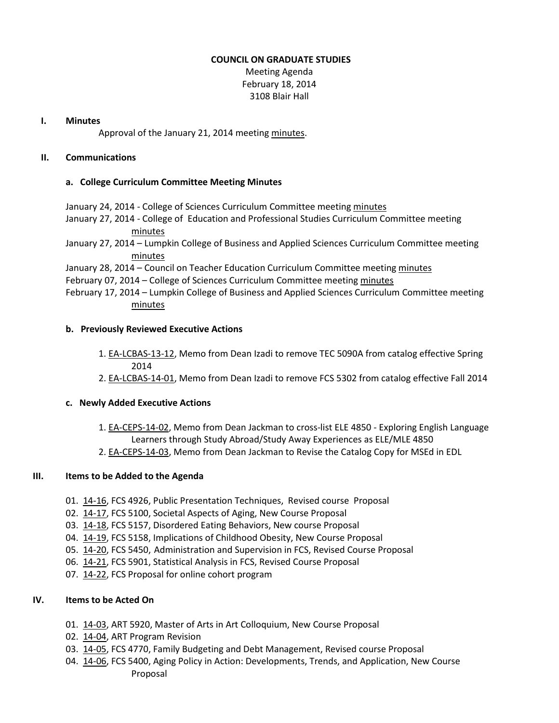### **COUNCIL ON GRADUATE STUDIES**

Meeting Agenda February 18, 2014 3108 Blair Hall

#### **I. Minutes**

Approval of the January 21, 2014 meeting [minutes.](http://castle.eiu.edu/eiucgs/currentminutes/Minutes01-21-14.pdf)

## **II. Communications**

#### **a. College Curriculum Committee Meeting Minutes**

January 24, 2014 - College of Sciences Curriculum Committee meeting [minutes](http://castle.eiu.edu/~eiucgs/currentagendaitems/COSMin01-24-14.pdf)

- January 27, 2014 College of Education and Professional Studies Curriculum Committee meeting [minutes](http://castle.eiu.edu/~eiucgs/currentagendaitems/CEPSMin01-27-14.pdf)
- January 27, 2014 Lumpkin College of Business and Applied Sciences Curriculum Committee meeting [minutes](http://castle.eiu.edu/~eiucgs/currentagendaitems/LCBASMin01-27-14.pdf)

January 28, 2014 – Council on Teacher Education Curriculum Committee meeting [minutes](http://castle.eiu.edu/~eiucgs/currentagendaitems/COTEMin01-28-14.pdf)

February 07, 2014 – College of Sciences Curriculum Committee meeting [minutes](http://castle.eiu.edu/~eiucgs/currentagendaitems/COSMin02-07-14.pdf)

February 17, 2014 – Lumpkin College of Business and Applied Sciences Curriculum Committee meeting [minutes](http://castle.eiu.edu/~eiucgs/currentagendaitems/LCBASMin02-17-14.pdf)

#### **b. Previously Reviewed Executive Actions**

- 1. [EA-LCBAS-13-12,](http://castle.eiu.edu/~eiucgs/exec-actions/EA-LCBAS-13-12.pdf) Memo from Dean Izadi to remove TEC 5090A from catalog effective Spring 2014
- 2. [EA-LCBAS-14-01,](http://castle.eiu.edu/~eiucgs/exec-actions/EA-LCBAS-14-01.pdf) Memo from Dean Izadi to remove FCS 5302 from catalog effective Fall 2014

## **c. Newly Added Executive Actions**

- 1. [EA-CEPS-14-02,](http://castle.eiu.edu/~eiucgs/exec-actions/EA-CEPS-14-02.pdf) Memo from Dean Jackman to cross-list ELE 4850 Exploring English Language Learners through Study Abroad/Study Away Experiences as ELE/MLE 4850
- 2. [EA-CEPS-14-03,](http://castle.eiu.edu/~eiucgs/exec-actions/EA-CEPS-14-03.pdf) Memo from Dean Jackman to Revise the Catalog Copy for MSEd in EDL

## **III. Items to be Added to the Agenda**

- 01. [14-16,](http://castle.eiu.edu/~eiucgs/currentagendaitems/agenda14-16.pdf) FCS 4926, Public Presentation Techniques, Revised course Proposal
- 02. [14-17,](http://castle.eiu.edu/~eiucgs/currentagendaitems/agenda14-17.pdf) FCS 5100, Societal Aspects of Aging, New Course Proposal
- 03. [14-18,](http://castle.eiu.edu/~eiucgs/currentagendaitems/agenda14-18.pdf) FCS 5157, Disordered Eating Behaviors, New course Proposal
- 04. [14-19,](http://castle.eiu.edu/~eiucgs/currentagendaitems/agenda14-19.pdf) FCS 5158, Implications of Childhood Obesity, New Course Proposal
- 05. [14-20,](http://castle.eiu.edu/~eiucgs/currentagendaitems/agenda14-20.pdf) FCS 5450, Administration and Supervision in FCS, Revised Course Proposal
- 06. [14-21,](http://castle.eiu.edu/~eiucgs/currentagendaitems/agenda14-21.pdf) FCS 5901, Statistical Analysis in FCS, Revised Course Proposal
- 07. [14-22,](http://castle.eiu.edu/~eiucgs/currentagendaitems/agenda14-22.pdf) FCS Proposal for online cohort program

## **IV. Items to be Acted On**

- 01. [14-03,](http://castle.eiu.edu/~eiucgs/currentagendaitems/agenda14-03.pdf) ART 5920, Master of Arts in Art Colloquium, New Course Proposal
- 02. [14-04,](http://castle.eiu.edu/~eiucgs/currentagendaitems/agenda14-04.pdf) ART Program Revision
- 03. [14-05,](http://castle.eiu.edu/~eiucgs/currentagendaitems/agenda14-05.pdf) FCS 4770, Family Budgeting and Debt Management, Revised course Proposal
- 04. [14-06,](http://castle.eiu.edu/~eiucgs/currentagendaitems/agenda14-06.pdf) FCS 5400, Aging Policy in Action: Developments, Trends, and Application, New Course Proposal